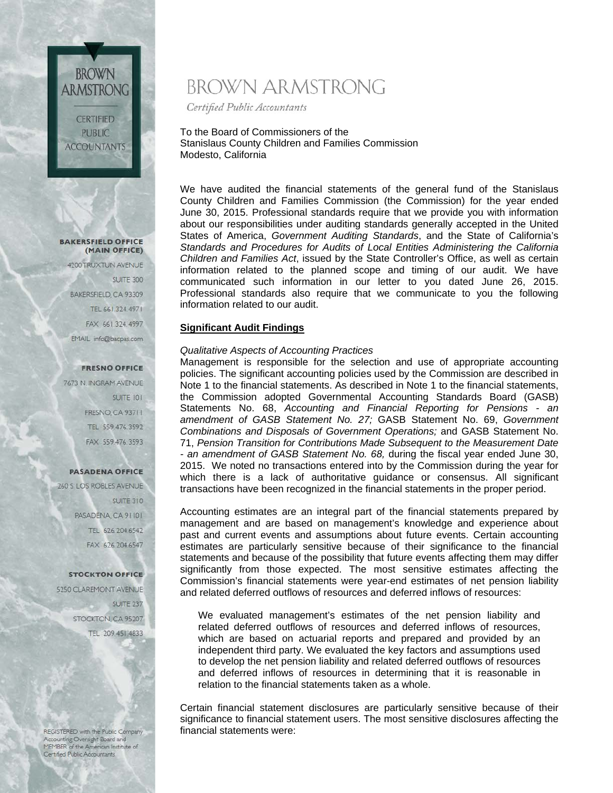# **BAKERSFIELD OFFICE**

**BROWN** 

**ARMSTRONG** 

**CERTIFIED PUBLIC ACCOUNTANTS** 

(MAIN OFFICE) 4200 TRUXTUN AVENUE **SUITE 300** BAKERSFIELD, CA 93309 TEL 661.324.4971 FAX 661.324.4997 EMAIL info@bacpas.com

#### **FRESNO OFFICE**

7673 N. INGRAM AVENUE **SUITE 101 FRESNO, CA 93711** TEL 559.476.3592 FAX 559.476.3593

#### **PASADENA OFFICE**

260 S. LOS ROBLES AVENUE SUITE 310 PASADENA CA 91101 TEL 626.204.6542 FAX 626.204.6547

#### **STOCKTON OFFICE**

5250 CLAREMONT AVENUE SUITE 237 STOCKTON, CA 95207 TEL 209.451.4833

REGISTERED with the Public Company Accounting Oversight Board and<br>MEMBER of the American Institute of Certified Public Accountants

# BROWN ARMSTRONG

Certified Public Accountants

To the Board of Commissioners of the Stanislaus County Children and Families Commission Modesto, California

We have audited the financial statements of the general fund of the Stanislaus County Children and Families Commission (the Commission) for the year ended June 30, 2015. Professional standards require that we provide you with information about our responsibilities under auditing standards generally accepted in the United States of America, *Government Auditing Standards*, and the State of California's *Standards and Procedures for Audits of Local Entities Administering the California Children and Families Act*, issued by the State Controller's Office, as well as certain information related to the planned scope and timing of our audit. We have communicated such information in our letter to you dated June 26, 2015. Professional standards also require that we communicate to you the following information related to our audit.

## **Significant Audit Findings**

## *Qualitative Aspects of Accounting Practices*

Management is responsible for the selection and use of appropriate accounting policies. The significant accounting policies used by the Commission are described in Note 1 to the financial statements. As described in Note 1 to the financial statements, the Commission adopted Governmental Accounting Standards Board (GASB) Statements No. 68, *Accounting and Financial Reporting for Pensions - an amendment of GASB Statement No. 27;* GASB Statement No. 69, *Government Combinations and Disposals of Government Operations;* and GASB Statement No. 71, *Pension Transition for Contributions Made Subsequent to the Measurement Date - an amendment of GASB Statement No. 68,* during the fiscal year ended June 30, 2015. We noted no transactions entered into by the Commission during the year for which there is a lack of authoritative guidance or consensus. All significant transactions have been recognized in the financial statements in the proper period.

Accounting estimates are an integral part of the financial statements prepared by management and are based on management's knowledge and experience about past and current events and assumptions about future events. Certain accounting estimates are particularly sensitive because of their significance to the financial statements and because of the possibility that future events affecting them may differ significantly from those expected. The most sensitive estimates affecting the Commission's financial statements were year-end estimates of net pension liability and related deferred outflows of resources and deferred inflows of resources:

We evaluated management's estimates of the net pension liability and related deferred outflows of resources and deferred inflows of resources, which are based on actuarial reports and prepared and provided by an independent third party. We evaluated the key factors and assumptions used to develop the net pension liability and related deferred outflows of resources and deferred inflows of resources in determining that it is reasonable in relation to the financial statements taken as a whole.

Certain financial statement disclosures are particularly sensitive because of their significance to financial statement users. The most sensitive disclosures affecting the financial statements were: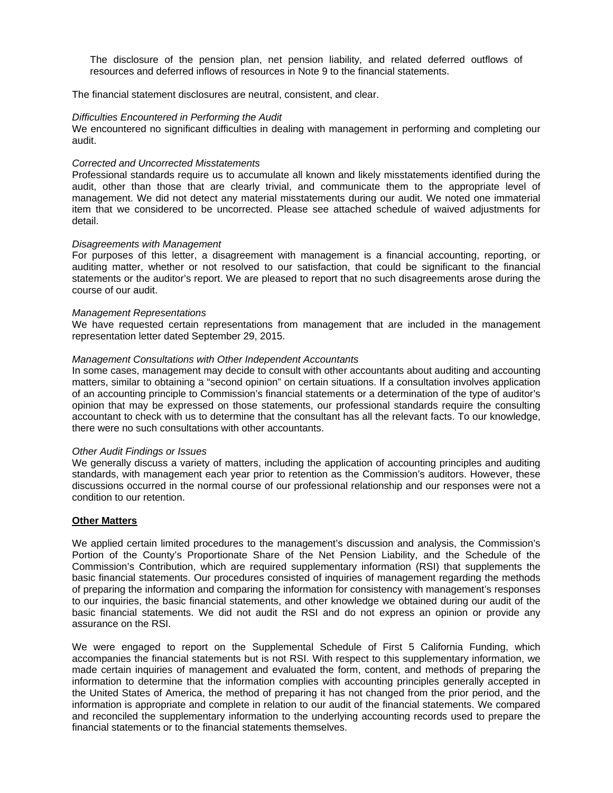The disclosure of the pension plan, net pension liability, and related deferred outflows of resources and deferred inflows of resources in Note 9 to the financial statements.

The financial statement disclosures are neutral, consistent, and clear.

#### *Difficulties Encountered in Performing the Audit*

We encountered no significant difficulties in dealing with management in performing and completing our audit.

#### *Corrected and Uncorrected Misstatements*

Professional standards require us to accumulate all known and likely misstatements identified during the audit, other than those that are clearly trivial, and communicate them to the appropriate level of management. We did not detect any material misstatements during our audit. We noted one immaterial item that we considered to be uncorrected. Please see attached schedule of waived adjustments for detail.

#### *Disagreements with Management*

For purposes of this letter, a disagreement with management is a financial accounting, reporting, or auditing matter, whether or not resolved to our satisfaction, that could be significant to the financial statements or the auditor's report. We are pleased to report that no such disagreements arose during the course of our audit.

#### *Management Representations*

We have requested certain representations from management that are included in the management representation letter dated September 29, 2015.

#### *Management Consultations with Other Independent Accountants*

In some cases, management may decide to consult with other accountants about auditing and accounting matters, similar to obtaining a "second opinion" on certain situations. If a consultation involves application of an accounting principle to Commission's financial statements or a determination of the type of auditor's opinion that may be expressed on those statements, our professional standards require the consulting accountant to check with us to determine that the consultant has all the relevant facts. To our knowledge, there were no such consultations with other accountants.

#### *Other Audit Findings or Issues*

We generally discuss a variety of matters, including the application of accounting principles and auditing standards, with management each year prior to retention as the Commission's auditors. However, these discussions occurred in the normal course of our professional relationship and our responses were not a condition to our retention.

## **Other Matters**

We applied certain limited procedures to the management's discussion and analysis, the Commission's Portion of the County's Proportionate Share of the Net Pension Liability, and the Schedule of the Commission's Contribution, which are required supplementary information (RSI) that supplements the basic financial statements. Our procedures consisted of inquiries of management regarding the methods of preparing the information and comparing the information for consistency with management's responses to our inquiries, the basic financial statements, and other knowledge we obtained during our audit of the basic financial statements. We did not audit the RSI and do not express an opinion or provide any assurance on the RSI.

We were engaged to report on the Supplemental Schedule of First 5 California Funding, which accompanies the financial statements but is not RSI. With respect to this supplementary information, we made certain inquiries of management and evaluated the form, content, and methods of preparing the information to determine that the information complies with accounting principles generally accepted in the United States of America, the method of preparing it has not changed from the prior period, and the information is appropriate and complete in relation to our audit of the financial statements. We compared and reconciled the supplementary information to the underlying accounting records used to prepare the financial statements or to the financial statements themselves.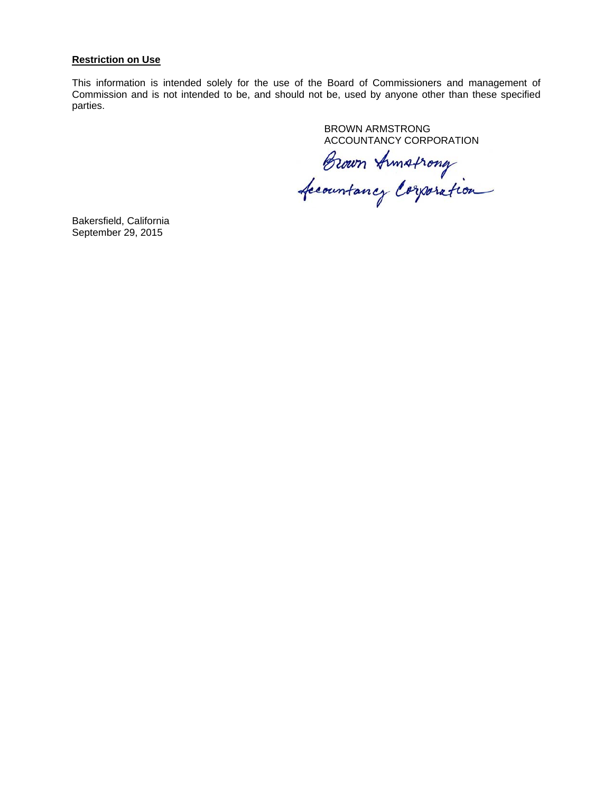#### **Restriction on Use**

This information is intended solely for the use of the Board of Commissioners and management of Commission and is not intended to be, and should not be, used by anyone other than these specified parties.

BROWN ARMSTRONG

ACCOUNTANCY CORPORATION<br>Brown Armstrong<br>fecountancy Corporation

Bakersfield, California September 29, 2015